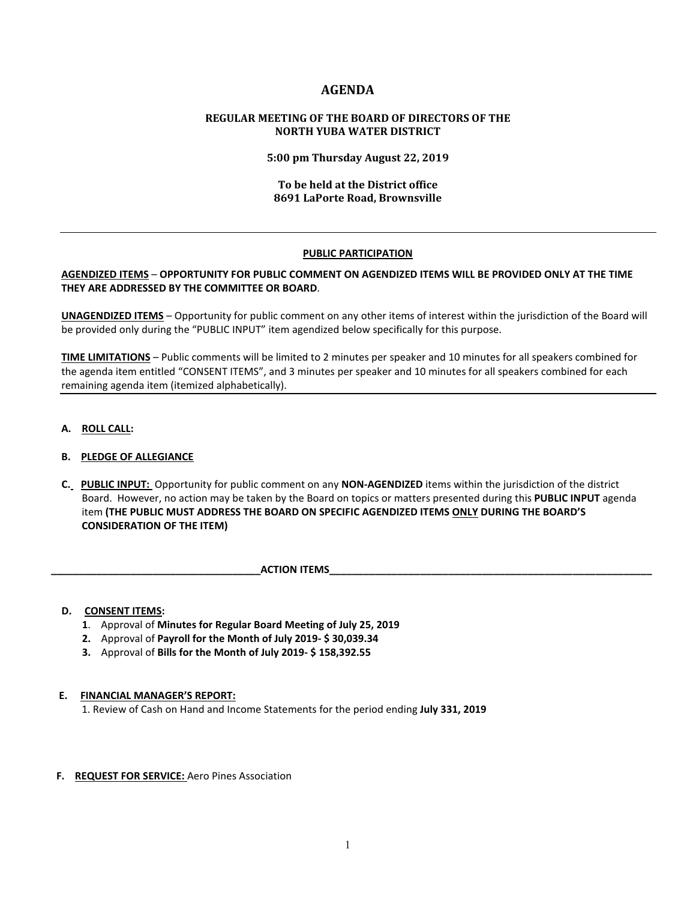# **AGENDA**

# **REGULAR MEETING OF THE BOARD OF DIRECTORS OF THE NORTH YUBA WATER DISTRICT**

**5:00 pm Thursday August 22, 2019**

# **To be held at the District office 8691 LaPorte Road, Brownsville**

# **PUBLIC PARTICIPATION**

# **AGENDIZED ITEMS** – **OPPORTUNITY FOR PUBLIC COMMENT ON AGENDIZED ITEMS WILL BE PROVIDED ONLY AT THE TIME THEY ARE ADDRESSED BY THE COMMITTEE OR BOARD**.

**UNAGENDIZED ITEMS** – Opportunity for public comment on any other items of interest within the jurisdiction of the Board will be provided only during the "PUBLIC INPUT" item agendized below specifically for this purpose.

**TIME LIMITATIONS** – Public comments will be limited to 2 minutes per speaker and 10 minutes for all speakers combined for the agenda item entitled "CONSENT ITEMS", and 3 minutes per speaker and 10 minutes for all speakers combined for each remaining agenda item (itemized alphabetically).

**A. ROLL CALL:** 

# **B. PLEDGE OF ALLEGIANCE**

 **C. PUBLIC INPUT:** Opportunity for public comment on any **NON-AGENDIZED** items within the jurisdiction of the district Board. However, no action may be taken by the Board on topics or matters presented during this **PUBLIC INPUT** agenda item **(THE PUBLIC MUST ADDRESS THE BOARD ON SPECIFIC AGENDIZED ITEMS ONLY DURING THE BOARD'S CONSIDERATION OF THE ITEM)**

**ACTION ITEMS** 

#### **D. CONSENT ITEMS:**

- **1**. Approval of **Minutes for Regular Board Meeting of July 25, 2019**
- **2.** Approval of **Payroll for the Month of July 2019- \$ 30,039.34**
- **3.** Approval of **Bills for the Month of July 2019- \$ 158,392.55**

#### **E. FINANCIAL MANAGER'S REPORT:**

1. Review of Cash on Hand and Income Statements for the period ending **July 331, 2019**

#### **F. REQUEST FOR SERVICE:** Aero Pines Association